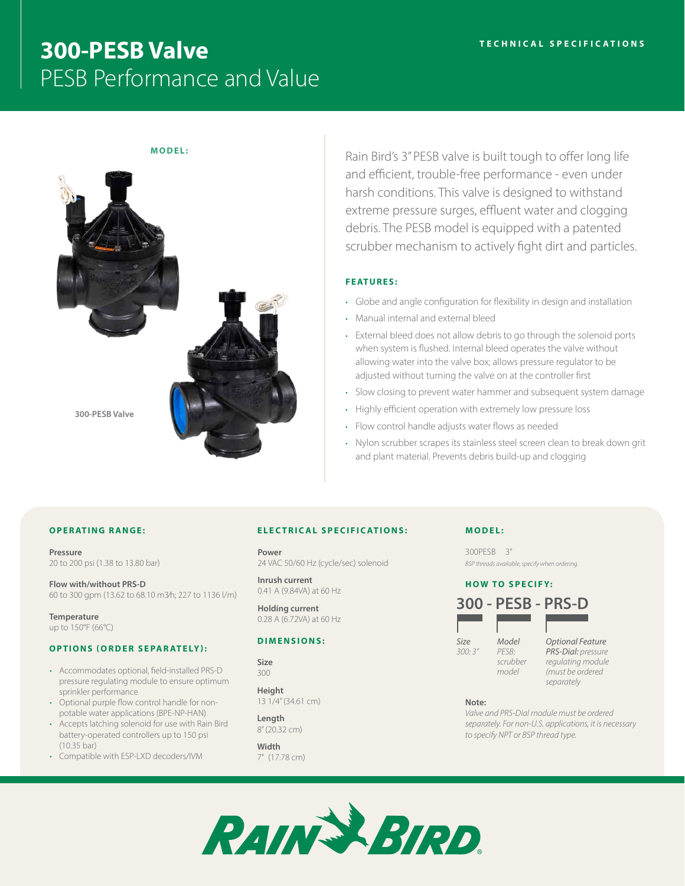# **300-PESB Valve** PESB Performance and Value

# **MODEL:**



Rain Bird's 3" PESB valve is built tough to offer long life and efficient, trouble-free performance - even under harsh conditions. This valve is designed to withstand extreme pressure surges, effluent water and clogging debris. The PESB model is equipped with a patented scrubber mechanism to actively fight dirt and particles.

# **FEATURES:**

- Globe and angle configuration for flexibility in design and installation
- Manual internal and external bleed
- External bleed does not allow debris to go through the solenoid ports when system is flushed. Internal bleed operates the valve without allowing water into the valve box; allows pressure regulator to be adjusted without turning the valve on at the controller first
- Slow closing to prevent water hammer and subsequent system damage
- Highly efficient operation with extremely low pressure loss
- Flow control handle adjusts water flows as needed
- Nylon scrubber scrapes its stainless steel screen clean to break down grit and plant material. Prevents debris build-up and clogging

# **OPERATING RANGE:**

**Pressure** 20 to 200 psi (1.38 to 13.80 bar)

**Flow with/without PRS-D** 60 to 300 gpm (13.62 to 68.10 m3⁄h; 227 to 1136 l/m)

**Temperature** up to 150°F (66°C)

### **OPTIONS (ORDER SEPARATELY):**

- Accommodates optional, field-installed PRS-D pressure regulating module to ensure optimum sprinkler performance
- Optional purple flow control handle for nonpotable water applications (BPE-NP-HAN)
- Accepts latching solenoid for use with Rain Bird battery-operated controllers up to 150 psi (10.35 bar)
- Compatible with ESP-LXD decoders/IVM

#### **ELECTRICAL SPECIFICATIONS:**

**Power** 24 VAC 50/60 Hz (cycle/sec) solenoid

**Inrush current** 0.41 A (9.84VA) at 60 Hz

**Holding current** 0.28 A (6.72VA) at 60 Hz

#### **DIMENSIONS:**

**Size** 300

**Height** 13 1/4" (34.61 cm)

**Length** 8" (20.32 cm)

**Width** 7" (17.78 cm)

#### **MODEL:**

300PESB 3" *BSP threads available, specify when ordering.*

#### **HOW TO SPECIFY:**



**Note:**

*Valve and PRS-Dial module must be ordered separately. For non-U.S. applications, it is necessary to specify NPT or BSP thread type.*